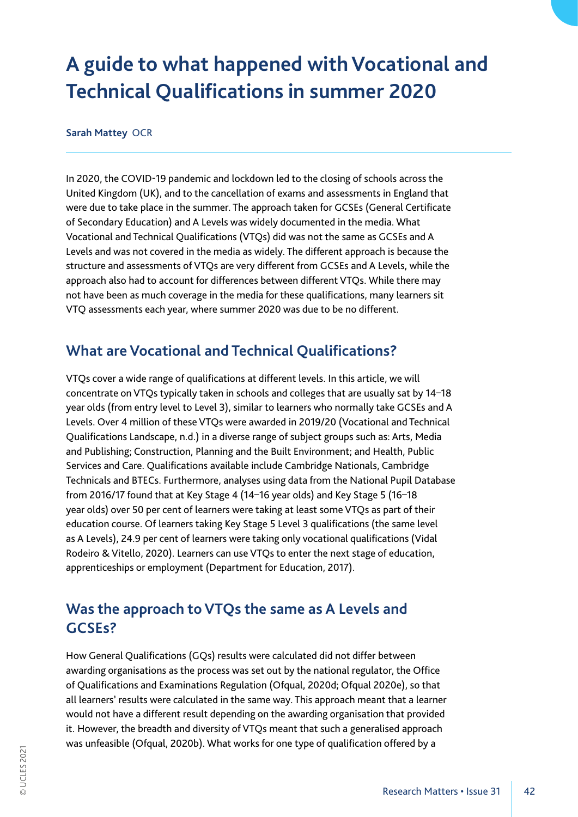# **A guide to what happened with Vocational and Technical Qualifications in summer 2020**

#### **Sarah Mattey** OCR

In 2020, the COVID-19 pandemic and lockdown led to the closing of schools across the United Kingdom (UK), and to the cancellation of exams and assessments in England that were due to take place in the summer. The approach taken for GCSEs (General Certificate of Secondary Education) and A Levels was widely documented in the media. What Vocational and Technical Qualifications (VTQs) did was not the same as GCSEs and A Levels and was not covered in the media as widely. The different approach is because the structure and assessments of VTQs are very different from GCSEs and A Levels, while the approach also had to account for differences between different VTQs. While there may not have been as much coverage in the media for these qualifications, many learners sit VTQ assessments each year, where summer 2020 was due to be no different.

### **What are Vocational and Technical Qualifications?**

VTQs cover a wide range of qualifications at different levels. In this article, we will concentrate on VTQs typically taken in schools and colleges that are usually sat by 14–18 year olds (from entry level to Level 3), similar to learners who normally take GCSEs and A Levels. Over 4 million of these VTQs were awarded in 2019/20 (Vocational and Technical Qualifications Landscape, n.d.) in a diverse range of subject groups such as: Arts, Media and Publishing; Construction, Planning and the Built Environment; and Health, Public Services and Care. Qualifications available include Cambridge Nationals, Cambridge Technicals and BTECs. Furthermore, analyses using data from the National Pupil Database from 2016/17 found that at Key Stage 4 (14–16 year olds) and Key Stage 5 (16–18 year olds) over 50 per cent of learners were taking at least some VTQs as part of their education course. Of learners taking Key Stage 5 Level 3 qualifications (the same level as A Levels), 24.9 per cent of learners were taking only vocational qualifications (Vidal Rodeiro & Vitello, 2020). Learners can use VTQs to enter the next stage of education, apprenticeships or employment (Department for Education, 2017).

### **Was the approach to VTQs the same as A Levels and GCSEs?**

How General Qualifications (GQs) results were calculated did not differ between awarding organisations as the process was set out by the national regulator, the Office of Qualifications and Examinations Regulation (Ofqual, 2020d; Ofqual 2020e), so that all learners' results were calculated in the same way. This approach meant that a learner would not have a different result depending on the awarding organisation that provided it. However, the breadth and diversity of VTQs meant that such a generalised approach was unfeasible (Ofqual, 2020b). What works for one type of qualification offered by a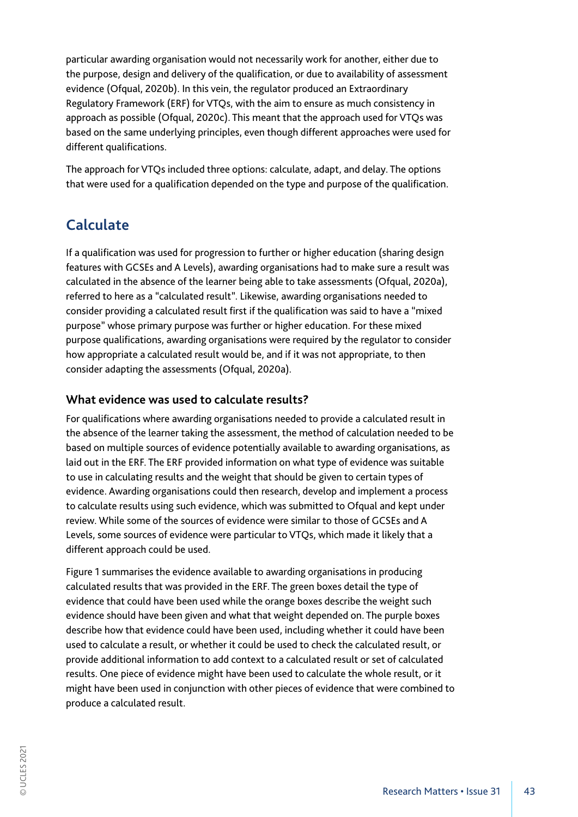particular awarding organisation would not necessarily work for another, either due to the purpose, design and delivery of the qualification, or due to availability of assessment evidence (Ofqual, 2020b). In this vein, the regulator produced an Extraordinary Regulatory Framework (ERF) for VTQs, with the aim to ensure as much consistency in approach as possible (Ofqual, 2020c). This meant that the approach used for VTQs was based on the same underlying principles, even though different approaches were used for different qualifications.

The approach for VTQs included three options: calculate, adapt, and delay. The options that were used for a qualification depended on the type and purpose of the qualification.

### **Calculate**

If a qualification was used for progression to further or higher education (sharing design features with GCSEs and A Levels), awarding organisations had to make sure a result was calculated in the absence of the learner being able to take assessments (Ofqual, 2020a), referred to here as a "calculated result". Likewise, awarding organisations needed to consider providing a calculated result first if the qualification was said to have a "mixed purpose" whose primary purpose was further or higher education. For these mixed purpose qualifications, awarding organisations were required by the regulator to consider how appropriate a calculated result would be, and if it was not appropriate, to then consider adapting the assessments (Ofqual, 2020a).

#### **What evidence was used to calculate results?**

For qualifications where awarding organisations needed to provide a calculated result in the absence of the learner taking the assessment, the method of calculation needed to be based on multiple sources of evidence potentially available to awarding organisations, as laid out in the ERF. The ERF provided information on what type of evidence was suitable to use in calculating results and the weight that should be given to certain types of evidence. Awarding organisations could then research, develop and implement a process to calculate results using such evidence, which was submitted to Ofqual and kept under review. While some of the sources of evidence were similar to those of GCSEs and A Levels, some sources of evidence were particular to VTQs, which made it likely that a different approach could be used.

Figure 1 summarises the evidence available to awarding organisations in producing calculated results that was provided in the ERF. The green boxes detail the type of evidence that could have been used while the orange boxes describe the weight such evidence should have been given and what that weight depended on. The purple boxes describe how that evidence could have been used, including whether it could have been used to calculate a result, or whether it could be used to check the calculated result, or provide additional information to add context to a calculated result or set of calculated results. One piece of evidence might have been used to calculate the whole result, or it might have been used in conjunction with other pieces of evidence that were combined to produce a calculated result.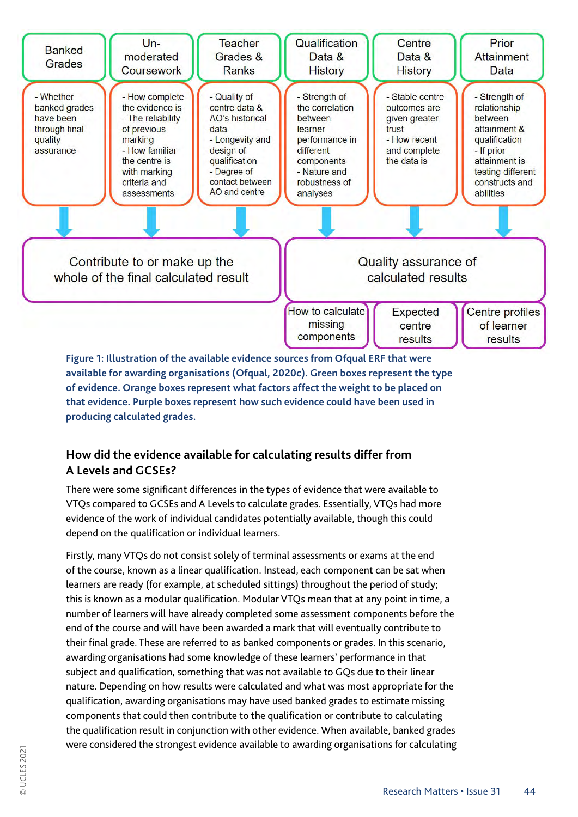

**Figure 1: Illustration of the available evidence sources from Ofqual ERF that were available for awarding organisations (Ofqual, 2020c). Green boxes represent the type of evidence. Orange boxes represent what factors affect the weight to be placed on that evidence. Purple boxes represent how such evidence could have been used in producing calculated grades.**

#### **How did the evidence available for calculating results differ from A Levels and GCSEs?**

There were some significant differences in the types of evidence that were available to VTQs compared to GCSEs and A Levels to calculate grades. Essentially, VTQs had more evidence of the work of individual candidates potentially available, though this could depend on the qualification or individual learners.

Firstly, many VTQs do not consist solely of terminal assessments or exams at the end of the course, known as a linear qualification. Instead, each component can be sat when learners are ready (for example, at scheduled sittings) throughout the period of study; this is known as a modular qualification. Modular VTQs mean that at any point in time, a number of learners will have already completed some assessment components before the end of the course and will have been awarded a mark that will eventually contribute to their final grade. These are referred to as banked components or grades. In this scenario, awarding organisations had some knowledge of these learners' performance in that subject and qualification, something that was not available to GQs due to their linear nature. Depending on how results were calculated and what was most appropriate for the qualification, awarding organisations may have used banked grades to estimate missing components that could then contribute to the qualification or contribute to calculating the qualification result in conjunction with other evidence. When available, banked grades were considered the strongest evidence available to awarding organisations for calculating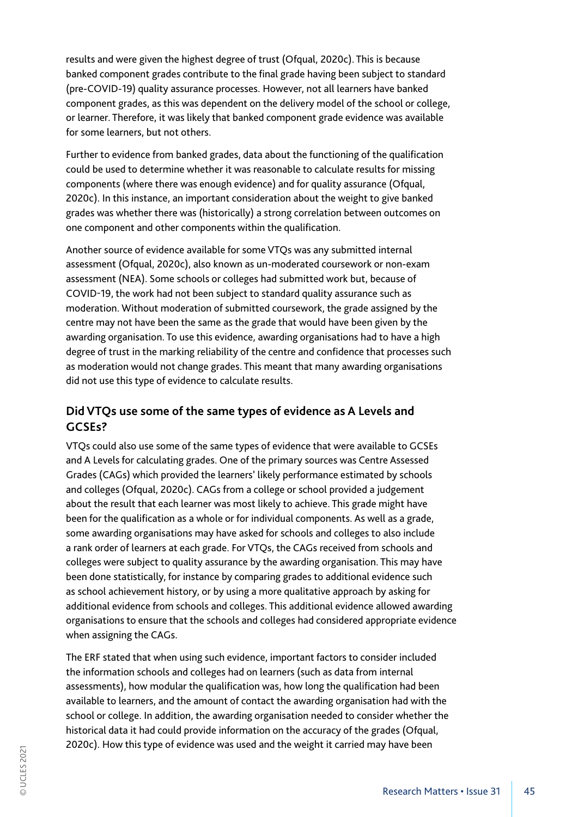results and were given the highest degree of trust (Ofqual, 2020c). This is because banked component grades contribute to the final grade having been subject to standard (pre-COVID-19) quality assurance processes. However, not all learners have banked component grades, as this was dependent on the delivery model of the school or college, or learner. Therefore, it was likely that banked component grade evidence was available for some learners, but not others.

Further to evidence from banked grades, data about the functioning of the qualification could be used to determine whether it was reasonable to calculate results for missing components (where there was enough evidence) and for quality assurance (Ofqual, 2020c). In this instance, an important consideration about the weight to give banked grades was whether there was (historically) a strong correlation between outcomes on one component and other components within the qualification.

Another source of evidence available for some VTQs was any submitted internal assessment (Ofqual, 2020c), also known as un-moderated coursework or non-exam assessment (NEA). Some schools or colleges had submitted work but, because of COVID-19, the work had not been subject to standard quality assurance such as moderation. Without moderation of submitted coursework, the grade assigned by the centre may not have been the same as the grade that would have been given by the awarding organisation. To use this evidence, awarding organisations had to have a high degree of trust in the marking reliability of the centre and confidence that processes such as moderation would not change grades. This meant that many awarding organisations did not use this type of evidence to calculate results.

#### **Did VTQs use some of the same types of evidence as A Levels and GCSEs?**

VTQs could also use some of the same types of evidence that were available to GCSEs and A Levels for calculating grades. One of the primary sources was Centre Assessed Grades (CAGs) which provided the learners' likely performance estimated by schools and colleges (Ofqual, 2020c). CAGs from a college or school provided a judgement about the result that each learner was most likely to achieve. This grade might have been for the qualification as a whole or for individual components. As well as a grade, some awarding organisations may have asked for schools and colleges to also include a rank order of learners at each grade. For VTQs, the CAGs received from schools and colleges were subject to quality assurance by the awarding organisation. This may have been done statistically, for instance by comparing grades to additional evidence such as school achievement history, or by using a more qualitative approach by asking for additional evidence from schools and colleges. This additional evidence allowed awarding organisations to ensure that the schools and colleges had considered appropriate evidence when assigning the CAGs.

The ERF stated that when using such evidence, important factors to consider included the information schools and colleges had on learners (such as data from internal assessments), how modular the qualification was, how long the qualification had been available to learners, and the amount of contact the awarding organisation had with the school or college. In addition, the awarding organisation needed to consider whether the historical data it had could provide information on the accuracy of the grades (Ofqual, 2020c). How this type of evidence was used and the weight it carried may have been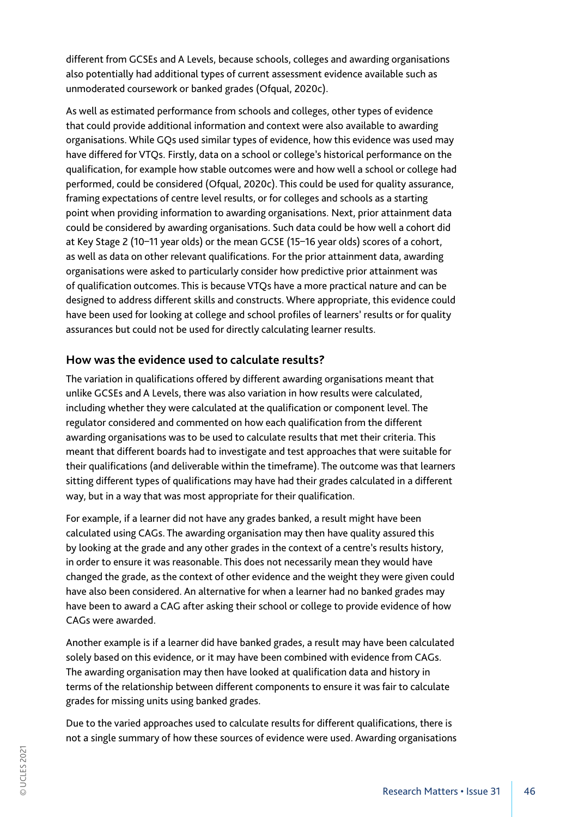different from GCSEs and A Levels, because schools, colleges and awarding organisations also potentially had additional types of current assessment evidence available such as unmoderated coursework or banked grades (Ofqual, 2020c).

As well as estimated performance from schools and colleges, other types of evidence that could provide additional information and context were also available to awarding organisations. While GQs used similar types of evidence, how this evidence was used may have differed for VTQs. Firstly, data on a school or college's historical performance on the qualification, for example how stable outcomes were and how well a school or college had performed, could be considered (Ofqual, 2020c). This could be used for quality assurance, framing expectations of centre level results, or for colleges and schools as a starting point when providing information to awarding organisations. Next, prior attainment data could be considered by awarding organisations. Such data could be how well a cohort did at Key Stage 2 (10–11 year olds) or the mean GCSE (15–16 year olds) scores of a cohort, as well as data on other relevant qualifications. For the prior attainment data, awarding organisations were asked to particularly consider how predictive prior attainment was of qualification outcomes. This is because VTQs have a more practical nature and can be designed to address different skills and constructs. Where appropriate, this evidence could have been used for looking at college and school profiles of learners' results or for quality assurances but could not be used for directly calculating learner results.

#### **How was the evidence used to calculate results?**

The variation in qualifications offered by different awarding organisations meant that unlike GCSEs and A Levels, there was also variation in how results were calculated, including whether they were calculated at the qualification or component level. The regulator considered and commented on how each qualification from the different awarding organisations was to be used to calculate results that met their criteria. This meant that different boards had to investigate and test approaches that were suitable for their qualifications (and deliverable within the timeframe). The outcome was that learners sitting different types of qualifications may have had their grades calculated in a different way, but in a way that was most appropriate for their qualification.

For example, if a learner did not have any grades banked, a result might have been calculated using CAGs. The awarding organisation may then have quality assured this by looking at the grade and any other grades in the context of a centre's results history, in order to ensure it was reasonable. This does not necessarily mean they would have changed the grade, as the context of other evidence and the weight they were given could have also been considered. An alternative for when a learner had no banked grades may have been to award a CAG after asking their school or college to provide evidence of how CAGs were awarded.

Another example is if a learner did have banked grades, a result may have been calculated solely based on this evidence, or it may have been combined with evidence from CAGs. The awarding organisation may then have looked at qualification data and history in terms of the relationship between different components to ensure it was fair to calculate grades for missing units using banked grades.

Due to the varied approaches used to calculate results for different qualifications, there is not a single summary of how these sources of evidence were used. Awarding organisations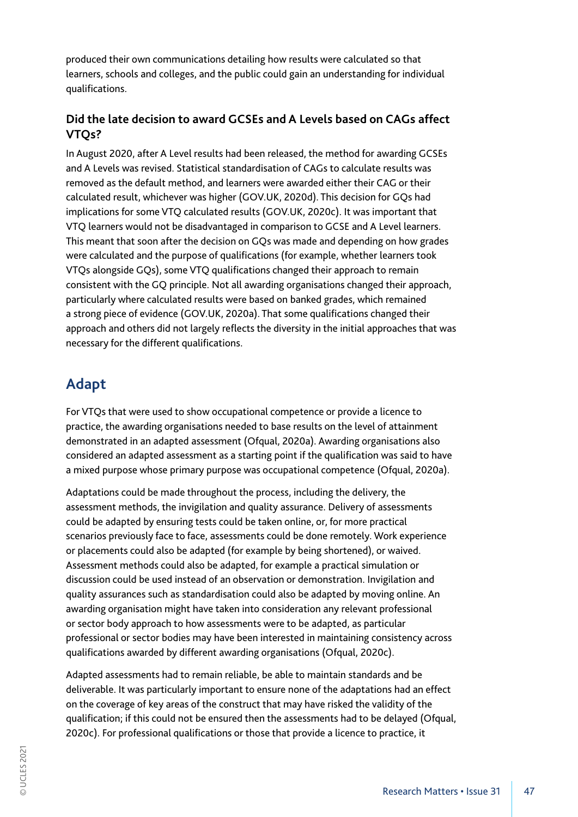produced their own communications detailing how results were calculated so that learners, schools and colleges, and the public could gain an understanding for individual qualifications.

### **Did the late decision to award GCSEs and A Levels based on CAGs affect VTQs?**

In August 2020, after A Level results had been released, the method for awarding GCSEs and A Levels was revised. Statistical standardisation of CAGs to calculate results was removed as the default method, and learners were awarded either their CAG or their calculated result, whichever was higher (GOV.UK, 2020d). This decision for GQs had implications for some VTQ calculated results (GOV.UK, 2020c). It was important that VTQ learners would not be disadvantaged in comparison to GCSE and A Level learners. This meant that soon after the decision on GQs was made and depending on how grades were calculated and the purpose of qualifications (for example, whether learners took VTQs alongside GQs), some VTQ qualifications changed their approach to remain consistent with the GQ principle. Not all awarding organisations changed their approach, particularly where calculated results were based on banked grades, which remained a strong piece of evidence (GOV.UK, 2020a). That some qualifications changed their approach and others did not largely reflects the diversity in the initial approaches that was necessary for the different qualifications.

# **Adapt**

For VTQs that were used to show occupational competence or provide a licence to practice, the awarding organisations needed to base results on the level of attainment demonstrated in an adapted assessment (Ofqual, 2020a). Awarding organisations also considered an adapted assessment as a starting point if the qualification was said to have a mixed purpose whose primary purpose was occupational competence (Ofqual, 2020a).

Adaptations could be made throughout the process, including the delivery, the assessment methods, the invigilation and quality assurance. Delivery of assessments could be adapted by ensuring tests could be taken online, or, for more practical scenarios previously face to face, assessments could be done remotely. Work experience or placements could also be adapted (for example by being shortened), or waived. Assessment methods could also be adapted, for example a practical simulation or discussion could be used instead of an observation or demonstration. Invigilation and quality assurances such as standardisation could also be adapted by moving online. An awarding organisation might have taken into consideration any relevant professional or sector body approach to how assessments were to be adapted, as particular professional or sector bodies may have been interested in maintaining consistency across qualifications awarded by different awarding organisations (Ofqual, 2020c).

Adapted assessments had to remain reliable, be able to maintain standards and be deliverable. It was particularly important to ensure none of the adaptations had an effect on the coverage of key areas of the construct that may have risked the validity of the qualification; if this could not be ensured then the assessments had to be delayed (Ofqual, 2020c). For professional qualifications or those that provide a licence to practice, it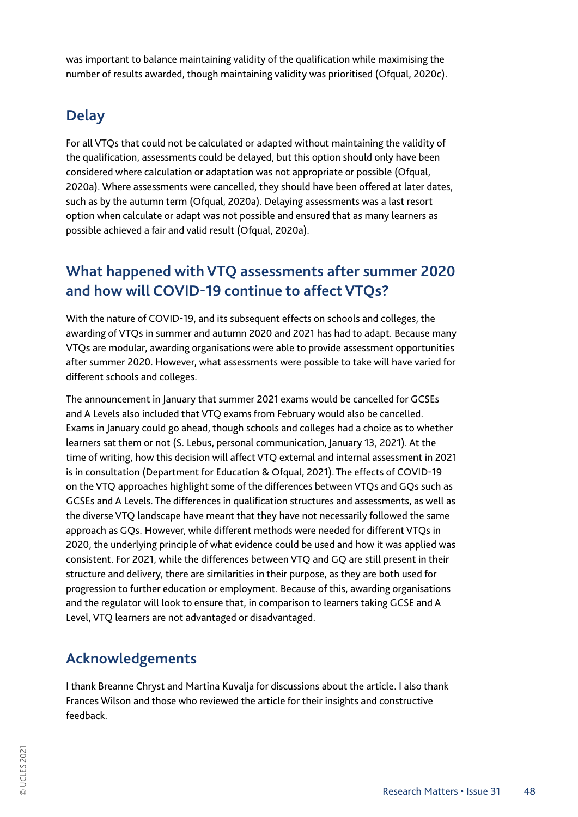was important to balance maintaining validity of the qualification while maximising the number of results awarded, though maintaining validity was prioritised (Ofqual, 2020c).

# **Delay**

For all VTQs that could not be calculated or adapted without maintaining the validity of the qualification, assessments could be delayed, but this option should only have been considered where calculation or adaptation was not appropriate or possible (Ofqual, 2020a). Where assessments were cancelled, they should have been offered at later dates, such as by the autumn term (Ofqual, 2020a). Delaying assessments was a last resort option when calculate or adapt was not possible and ensured that as many learners as possible achieved a fair and valid result (Ofqual, 2020a).

### **What happened with VTQ assessments after summer 2020 and how will COVID-19 continue to affect VTQs?**

With the nature of COVID-19, and its subsequent effects on schools and colleges, the awarding of VTQs in summer and autumn 2020 and 2021 has had to adapt. Because many VTQs are modular, awarding organisations were able to provide assessment opportunities after summer 2020. However, what assessments were possible to take will have varied for different schools and colleges.

The announcement in January that summer 2021 exams would be cancelled for GCSEs and A Levels also included that VTQ exams from February would also be cancelled. Exams in January could go ahead, though schools and colleges had a choice as to whether learners sat them or not (S. Lebus, personal communication, January 13, 2021). At the time of writing, how this decision will affect VTQ external and internal assessment in 2021 is in consultation (Department for Education & Ofqual, 2021). The effects of COVID-19 on the VTQ approaches highlight some of the differences between VTQs and GQs such as GCSEs and A Levels. The differences in qualification structures and assessments, as well as the diverse VTQ landscape have meant that they have not necessarily followed the same approach as GQs. However, while different methods were needed for different VTQs in 2020, the underlying principle of what evidence could be used and how it was applied was consistent. For 2021, while the differences between VTQ and GQ are still present in their structure and delivery, there are similarities in their purpose, as they are both used for progression to further education or employment. Because of this, awarding organisations and the regulator will look to ensure that, in comparison to learners taking GCSE and A Level, VTQ learners are not advantaged or disadvantaged.

## **Acknowledgements**

I thank Breanne Chryst and Martina Kuvalja for discussions about the article. I also thank Frances Wilson and those who reviewed the article for their insights and constructive feedback.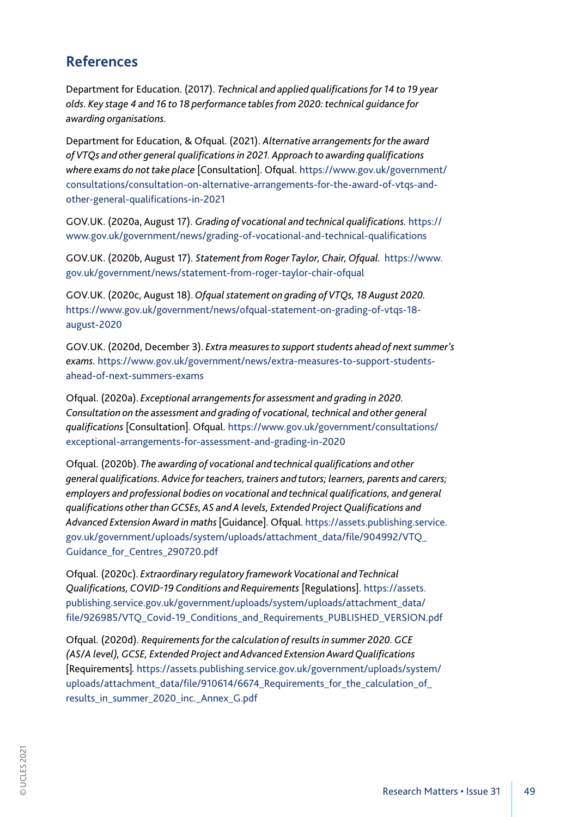### **References**

Department for Education. (2017). *Technical and applied qualifications for 14 to 19 year olds. Key stage 4 and 16 to 18 performance tables from 2020: technical guidance for awarding organisations.* 

Department for Education, & Ofqual. (2021). *Alternative arrangements for the award of VTQs and other general qualifications in 2021. Approach to awarding qualifications where exams do not take place* [Consultation]. Ofqual. https://www.gov.uk/government/ consultations/consultation-on-alternative-arrangements-for-the-award-of-vtqs-andother-general-qualifications-in-2021

GOV.UK. (2020a, August 17). *Grading of vocational and technical qualifications.* https:// www.gov.uk/government/news/grading-of-vocational-and-technical-qualifications

GOV.UK. (2020b, August 17). *Statement from Roger Taylor, Chair, Ofqual.* https://www. gov.uk/government/news/statement-from-roger-taylor-chair-ofqual

GOV.UK. (2020c, August 18). *Ofqual statement on grading of VTQs, 18 August 2020.*  https://www.gov.uk/government/news/ofqual-statement-on-grading-of-vtqs-18 august-2020

GOV.UK. (2020d, December 3). *Extra measures to support students ahead of next summer's exams.* https://www.gov.uk/government/news/extra-measures-to-support-studentsahead-of-next-summers-exams

Ofqual. (2020a). *Exceptional arrangements for assessment and grading in 2020. Consultation on the assessment and grading of vocational, technical and other general qualifications* [Consultation]. Ofqual. https://www.gov.uk/government/consultations/ exceptional-arrangements-for-assessment-and-grading-in-2020

Ofqual. (2020b). *The awarding of vocational and technical qualifications and other general qualifications. Advice for teachers, trainers and tutors; learners, parents and carers; employers and professional bodies on vocational and technical qualifications, and general qualifications other than GCSEs, AS and A levels, Extended Project Qualifications and Advanced Extension Award in maths* [Guidance]. Ofqual. https://assets.publishing.service. gov.uk/government/uploads/system/uploads/attachment\_data/file/904992/VTQ\_ Guidance\_for\_Centres\_290720.pdf

Ofqual. (2020c). *Extraordinary regulatory framework Vocational and Technical Qualifications, COVID-19 Conditions and Requirements* [Regulations]. https://assets. publishing.service.gov.uk/government/uploads/system/uploads/attachment\_data/ file/926985/VTQ\_Covid-19\_Conditions\_and\_Requirements\_PUBLISHED\_VERSION.pdf

Ofqual. (2020d). *Requirements for the calculation of results in summer 2020. GCE (AS/A level), GCSE, Extended Project and Advanced Extension Award Qualifications*  [Requirements]*.* https://assets.publishing.service.gov.uk/government/uploads/system/ uploads/attachment\_data/file/910614/6674\_Requirements\_for\_the\_calculation\_of results\_in\_summer\_2020\_inc.\_Annex\_G.pdf